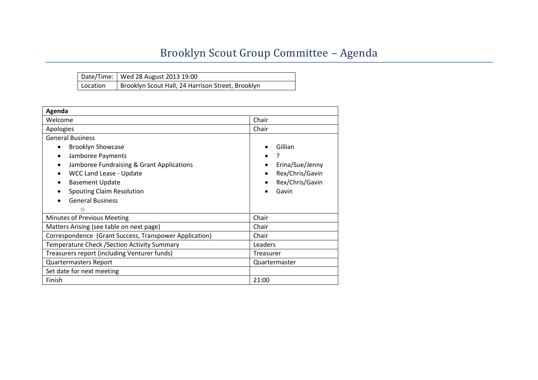## Brooklyn Scout Group Committee – Agenda

|          | Date/Time:   Wed 28 August 2013 19:00             |
|----------|---------------------------------------------------|
| Location | Brooklyn Scout Hall, 24 Harrison Street, Brooklyn |

| Agenda                                                 |                      |  |  |
|--------------------------------------------------------|----------------------|--|--|
| Welcome                                                | Chair                |  |  |
| Apologies                                              | Chair                |  |  |
| <b>General Business</b>                                |                      |  |  |
| <b>Brooklyn Showcase</b>                               | Gillian              |  |  |
| Jamboree Payments                                      |                      |  |  |
| Jamboree Fundraising & Grant Applications              | Erina/Sue/Jenny      |  |  |
| <b>WCC Land Lease - Update</b>                         | Rex/Chris/Gavin<br>٠ |  |  |
| <b>Basement Update</b>                                 | Rex/Chris/Gavin      |  |  |
| <b>Spouting Claim Resolution</b>                       | Gavin                |  |  |
| <b>General Business</b>                                |                      |  |  |
| $\circ$                                                |                      |  |  |
| Minutes of Previous Meeting                            | Chair                |  |  |
| Matters Arising (see table on next page)               | Chair                |  |  |
| Correspondence (Grant Success, Transpower Application) | Chair                |  |  |
| Temperature Check / Section Activity Summary           | Leaders              |  |  |
| Treasurers report (including Venturer funds)           | Treasurer            |  |  |
| <b>Quartermasters Report</b>                           | Quartermaster        |  |  |
| Set date for next meeting                              |                      |  |  |
| Finish                                                 | 21:00                |  |  |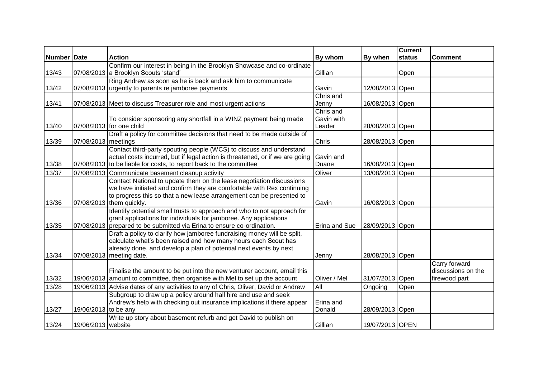|               |                      |                                                                                    |               |                 | <b>Current</b> |                    |
|---------------|----------------------|------------------------------------------------------------------------------------|---------------|-----------------|----------------|--------------------|
| Number   Date |                      | <b>Action</b>                                                                      | By whom       | By when         | status         | <b>Comment</b>     |
|               |                      | Confirm our interest in being in the Brooklyn Showcase and co-ordinate             |               |                 |                |                    |
| 13/43         |                      | 07/08/2013 a Brooklyn Scouts 'stand'                                               | Gillian       |                 | Open           |                    |
|               |                      | Ring Andrew as soon as he is back and ask him to communicate                       |               |                 |                |                    |
| 13/42         |                      | 07/08/2013 urgently to parents re jamboree payments                                | Gavin         | 12/08/2013 Open |                |                    |
|               |                      |                                                                                    | Chris and     |                 |                |                    |
| 13/41         |                      | 07/08/2013 Meet to discuss Treasurer role and most urgent actions                  | Jenny         | 16/08/2013 Open |                |                    |
|               |                      |                                                                                    | Chris and     |                 |                |                    |
|               |                      | To consider sponsoring any shortfall in a WINZ payment being made                  | Gavin with    |                 |                |                    |
| 13/40         |                      | 07/08/2013 for one child                                                           | Leader        | 28/08/2013 Open |                |                    |
| 13/39         | 07/08/2013 meetings  | Draft a policy for committee decisions that need to be made outside of             | Chris         | 28/08/2013 Open |                |                    |
|               |                      | Contact third-party spouting people (WCS) to discuss and understand                |               |                 |                |                    |
|               |                      | actual costs incurred, but if legal action is threatened, or if we are going       | Gavin and     |                 |                |                    |
| 13/38         |                      | 07/08/2013 to be liable for costs, to report back to the committee                 | Duane         | 16/08/2013 Open |                |                    |
| 13/37         | 07/08/2013           | Communicate basement cleanup activity                                              | Oliver        | 13/08/2013 Open |                |                    |
|               |                      | Contact National to update them on the lease negotiation discussions               |               |                 |                |                    |
|               |                      | we have initiated and confirm they are comfortable with Rex continuing             |               |                 |                |                    |
|               |                      | to progress this so that a new lease arrangement can be presented to               |               |                 |                |                    |
| 13/36         |                      | 07/08/2013 them quickly.                                                           | Gavin         | 16/08/2013 Open |                |                    |
|               |                      | Identify potential small trusts to approach and who to not approach for            |               |                 |                |                    |
|               |                      | grant applications for individuals for jamboree. Any applications                  |               |                 |                |                    |
| 13/35         |                      | 07/08/2013 prepared to be submitted via Erina to ensure co-ordination.             | Erina and Sue | 28/09/2013 Open |                |                    |
|               |                      | Draft a policy to clarify how jamboree fundraising money will be split,            |               |                 |                |                    |
|               |                      | calculate what's been raised and how many hours each Scout has                     |               |                 |                |                    |
|               |                      | already done, and develop a plan of potential next events by next                  |               |                 |                |                    |
| 13/34         |                      | 07/08/2013 meeting date.                                                           | Jenny         | 28/08/2013 Open |                |                    |
|               |                      |                                                                                    |               |                 |                | Carry forward      |
|               |                      | Finalise the amount to be put into the new venturer account, email this            |               |                 |                | discussions on the |
| 13/32         |                      | 19/06/2013 amount to committee, then organise with Mel to set up the account       | Oliver / Mel  | 31/07/2013 Open |                | firewood part      |
| 13/28         |                      | 19/06/2013 Advise dates of any activities to any of Chris, Oliver, David or Andrew | All           | Ongoing         | Open           |                    |
|               |                      | Subgroup to draw up a policy around hall hire and use and seek                     |               |                 |                |                    |
|               |                      | Andrew's help with checking out insurance implications if there appear             | Erina and     |                 |                |                    |
| 13/27         | 19/06/2013 to be any |                                                                                    | Donald        | 28/09/2013 Open |                |                    |
|               |                      | Write up story about basement refurb and get David to publish on                   |               |                 |                |                    |
| 13/24         | 19/06/2013 website   |                                                                                    | Gillian       | 19/07/2013 OPEN |                |                    |